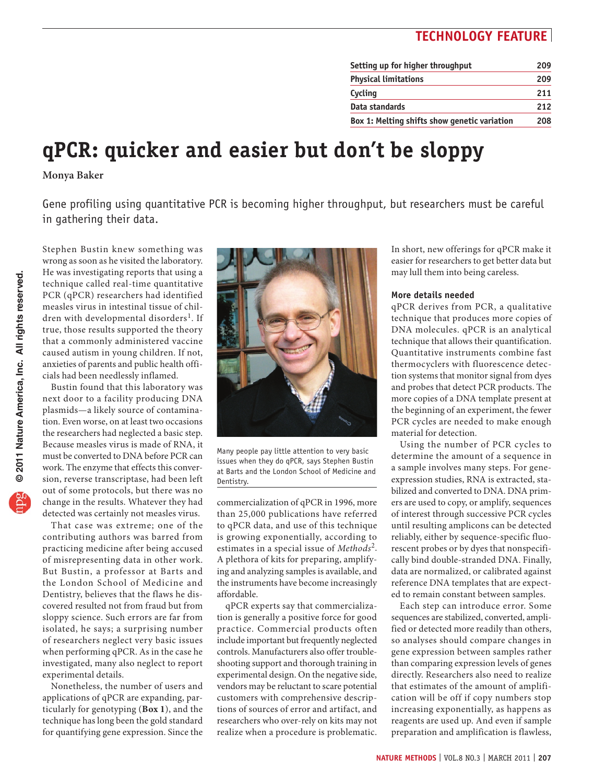| Setting up for higher throughput             | 209 |
|----------------------------------------------|-----|
| <b>Physical limitations</b>                  | 209 |
| Cycling                                      | 211 |
| Data standards                               | 212 |
| Box 1: Melting shifts show genetic variation | 208 |

# **qPCR: quicker and easier but don't be sloppy**

**Monya Baker**

Gene profiling using quantitative PCR is becoming higher throughput, but researchers must be careful in gathering their data.

Stephen Bustin knew something was wrong as soon as he visited the laboratory. He was investigating reports that using a technique called real-time quantitative PCR (qPCR) researchers had identified measles virus in intestinal tissue of children with developmental disorders<sup>1</sup>. If true, those results supported the theory that a commonly administered vaccine caused autism in young children. If not, anxieties of parents and public health officials had been needlessly inflamed.

Bustin found that this laboratory was next door to a facility producing DNA plasmids—a likely source of contamination. Even worse, on at least two occasions the researchers had neglected a basic step. Because measles virus is made of RNA, it must be converted to DNA before PCR can work. The enzyme that effects this conversion, reverse transcriptase, had been left out of some protocols, but there was no change in the results. Whatever they had detected was certainly not measles virus.

That case was extreme; one of the contributing authors was barred from practicing medicine after being accused of misrepresenting data in other work. But Bustin, a professor at Barts and the London School of Medicine and Dentistry, believes that the flaws he discovered resulted not from fraud but from sloppy science. Such errors are far from isolated, he says; a surprising number of researchers neglect very basic issues when performing qPCR. As in the case he investigated, many also neglect to report experimental details.

Nonetheless, the number of users and applications of qPCR are expanding, particularly for genotyping (**Box 1**), and the technique has long been the gold standard for quantifying gene expression. Since the



Many people pay little attention to very basic issues when they do qPCR, says Stephen Bustin at Barts and the London School of Medicine and Dentistry.

commercialization of qPCR in 1996, more than 25,000 publications have referred to qPCR data, and use of this technique is growing exponentially, according to estimates in a special issue of *Methods*2. A plethora of kits for preparing, amplifying and analyzing samples is available, and the instruments have become increasingly affordable.

qPCR experts say that commercialization is generally a positive force for good practice. Commercial products often include important but frequently neglected controls. Manufacturers also offer troubleshooting support and thorough training in experimental design. On the negative side, vendors may be reluctant to scare potential customers with comprehensive descriptions of sources of error and artifact, and researchers who over-rely on kits may not realize when a procedure is problematic. In short, new offerings for qPCR make it easier for researchers to get better data but may lull them into being careless.

#### **More details needed**

qPCR derives from PCR, a qualitative technique that produces more copies of DNA molecules. qPCR is an analytical technique that allows their quantification. Quantitative instruments combine fast thermocyclers with fluorescence detection systems that monitor signal from dyes and probes that detect PCR products. The more copies of a DNA template present at the beginning of an experiment, the fewer PCR cycles are needed to make enough material for detection.

Using the number of PCR cycles to determine the amount of a sequence in a sample involves many steps. For geneexpression studies, RNA is extracted, stabilized and converted to DNA. DNA primers are used to copy, or amplify, sequences of interest through successive PCR cycles until resulting amplicons can be detected reliably, either by sequence-specific fluorescent probes or by dyes that nonspecifically bind double-stranded DNA. Finally, data are normalized, or calibrated against reference DNA templates that are expected to remain constant between samples.

Each step can introduce error. Some sequences are stabilized, converted, amplified or detected more readily than others, so analyses should compare changes in gene expression between samples rather than comparing expression levels of genes directly. Researchers also need to realize that estimates of the amount of amplification will be off if copy numbers stop increasing exponentially, as happens as reagents are used up. And even if sample preparation and amplification is flawless,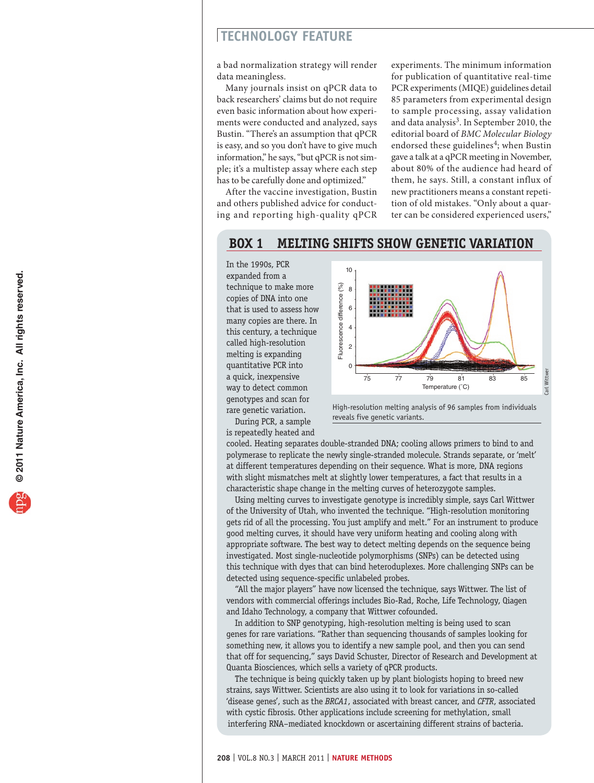a bad normalization strategy will render data meaningless.

Many journals insist on qPCR data to back researchers' claims but do not require even basic information about how experiments were conducted and analyzed, says Bustin. "There's an assumption that qPCR is easy, and so you don't have to give much information," he says, "but qPCR is not simple; it's a multistep assay where each step has to be carefully done and optimized."

After the vaccine investigation, Bustin and others published advice for conducting and reporting high-quality qPCR

experiments. The minimum information for publication of quantitative real-time PCR experiments (MIQE) guidelines detail 85 parameters from experimental design to sample processing, assay validation and data analysis<sup>3</sup>. In September 2010, the editorial board of *BMC Molecular Biology* endorsed these guidelines<sup>4</sup>; when Bustin gave a talk at a qPCR meeting in November, about 80% of the audience had heard of them, he says. Still, a constant influx of new practitioners means a constant repetition of old mistakes. "Only about a quarter can be considered experienced users,"

### **BOX 1 melting shifts show genetic variation**

In the 1990s, PCR expanded from a technique to make more copies of DNA into one that is used to assess how many copies are there. In this century, a technique called high-resolution melting is expanding quantitative PCR into a quick, inexpensive way to detect common genotypes and scan for rare genetic variation.



During PCR, a sample

High-resolution melting analysis of 96 samples from individuals reveals five genetic variants.

is repeatedly heated and

cooled. Heating separates double-stranded DNA; cooling allows primers to bind to and polymerase to replicate the newly single-stranded molecule. Strands separate, or 'melt' at different temperatures depending on their sequence. What is more, DNA regions with slight mismatches melt at slightly lower temperatures, a fact that results in a characteristic shape change in the melting curves of heterozygote samples.

Using melting curves to investigate genotype is incredibly simple, says Carl Wittwer of the University of Utah, who invented the technique. "High-resolution monitoring gets rid of all the processing. You just amplify and melt." For an instrument to produce good melting curves, it should have very uniform heating and cooling along with appropriate software. The best way to detect melting depends on the sequence being investigated. Most single-nucleotide polymorphisms (SNPs) can be detected using this technique with dyes that can bind heteroduplexes. More challenging SNPs can be detected using sequence-specific unlabeled probes.

"All the major players" have now licensed the technique, says Wittwer. The list of vendors with commercial offerings includes Bio-Rad, Roche, Life Technology, Qiagen and Idaho Technology, a company that Wittwer cofounded.

In addition to SNP genotyping, high-resolution melting is being used to scan genes for rare variations. "Rather than sequencing thousands of samples looking for something new, it allows you to identify a new sample pool, and then you can send that off for sequencing," says David Schuster, Director of Research and Development at Quanta Biosciences, which sells a variety of qPCR products.

The technique is being quickly taken up by plant biologists hoping to breed new strains, says Wittwer. Scientists are also using it to look for variations in so-called 'disease genes', such as the *BRCA1*, associated with breast cancer, and *CFTR*, associated with cystic fibrosis. Other applications include screening for methylation, small interfering RNA–mediated knockdown or ascertaining different strains of bacteria.

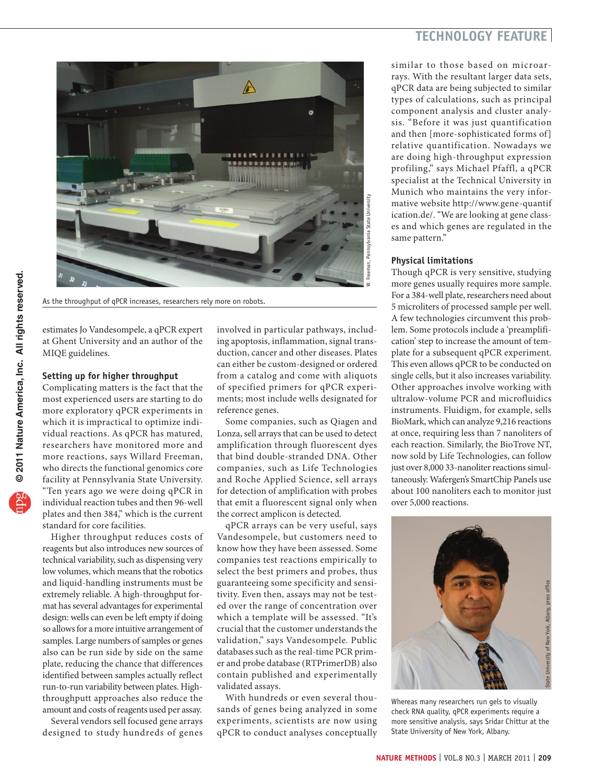

### As the throughput of qPCR increases, researchers rely more on robots.

estimates Jo Vandesompele, a qPCR expert at Ghent University and an author of the MIQE guidelines.

#### **Setting up for higher throughput**

Complicating matters is the fact that the most experienced users are starting to do more exploratory qPCR experiments in which it is impractical to optimize individual reactions. As qPCR has matured, researchers have monitored more and more reactions, says Willard Freeman, who directs the functional genomics core facility at Pennsylvania State University. "Ten years ago we were doing qPCR in individual reaction tubes and then 96-well plates and then 384," which is the current standard for core facilities.

Higher throughput reduces costs of reagents but also introduces new sources of technical variability, such as dispensing very low volumes, which means that the robotics and liquid-handling instruments must be extremely reliable. A high-throughput format has several advantages for experimental design: wells can even be left empty if doing so allows for a more intuitive arrangement of samples. Large numbers of samples or genes also can be run side by side on the same plate, reducing the chance that differences identified between samples actually reflect run-to-run variability between plates. Highthroughputt approaches also reduce the amount and costs of reagents used per assay.

Several vendors sell focused gene arrays designed to study hundreds of genes

involved in particular pathways, including apoptosis, inflammation, signal transduction, cancer and other diseases. Plates can either be custom-designed or ordered from a catalog and come with aliquots of specified primers for qPCR experiments; most include wells designated for reference genes.

Some companies, such as Qiagen and Lonza, sell arrays that can be used to detect amplification through fluorescent dyes that bind double-stranded DNA. Other companies, such as Life Technologies and Roche Applied Science, sell arrays for detection of amplification with probes that emit a fluorescent signal only when the correct amplicon is detected.

qPCR arrays can be very useful, says Vandesompele, but customers need to know how they have been assessed. Some companies test reactions empirically to select the best primers and probes, thus guaranteeing some specificity and sensitivity. Even then, assays may not be tested over the range of concentration over which a template will be assessed. "It's crucial that the customer understands the validation," says Vandesompele. Public databases such as the real-time PCR primer and probe database (RTPrimerDB) also contain published and experimentally validated assays.

With hundreds or even several thousands of genes being analyzed in some experiments, scientists are now using qPCR to conduct analyses conceptually

## **technology feature**

similar to those based on microarrays. With the resultant larger data sets, qPCR data are being subjected to similar types of calculations, such as principal component analysis and cluster analysis. "Before it was just quantification and then [more-sophisticated forms of] relative quantification. Nowadays we are doing high-throughput expression profiling," says Michael Pfaffl, a qPCR specialist at the Technical University in Munich who maintains the very informative website http://www.gene-quantif ication.de/. "We are looking at gene classes and which genes are regulated in the same pattern."

#### **Physical limitations**

Though qPCR is very sensitive, studying more genes usually requires more sample. For a 384-well plate, researchers need about 5 microliters of processed sample per well. A few technologies circumvent this problem. Some protocols include a 'preamplification' step to increase the amount of template for a subsequent qPCR experiment. This even allows qPCR to be conducted on single cells, but it also increases variability. Other approaches involve working with ultralow-volume PCR and microfluidics instruments. Fluidigm, for example, sells BioMark, which can analyze 9,216 reactions at once, requiring less than 7 nanoliters of each reaction. Similarly, the BioTrove NT, now sold by Life Technologies, can follow just over 8,000 33-nanoliter reactions simultaneously. Wafergen's SmartChip Panels use about 100 nanoliters each to monitor just over 5,000 reactions.



Whereas many researchers run gels to visually check RNA quality, qPCR experiments require a more sensitive analysis, says Sridar Chittur at the State University of New York, Albany.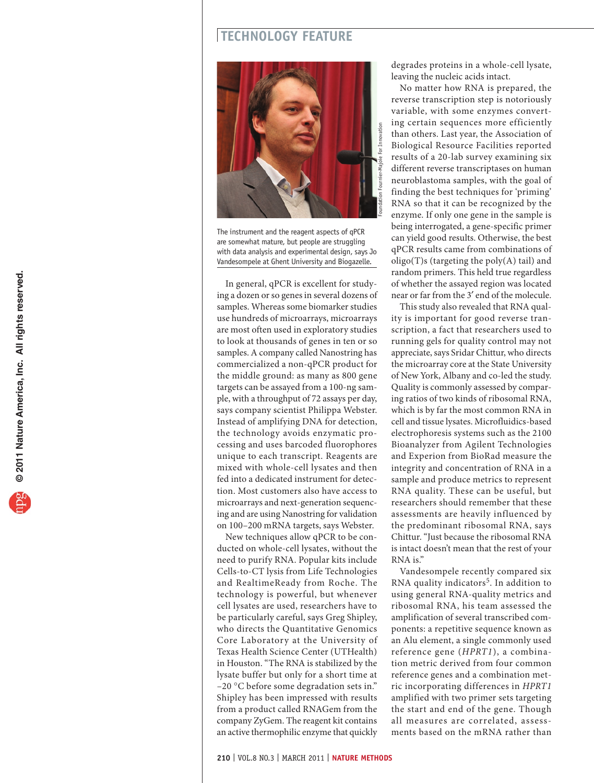

The instrument and the reagent aspects of qPCR are somewhat mature, but people are struggling with data analysis and experimental design, says Jo Vandesompele at Ghent University and Biogazelle.

In general, qPCR is excellent for studying a dozen or so genes in several dozens of samples. Whereas some biomarker studies use hundreds of microarrays, microarrays are most often used in exploratory studies to look at thousands of genes in ten or so samples. A company called Nanostring has commercialized a non-qPCR product for the middle ground: as many as 800 gene targets can be assayed from a 100-ng sample, with a throughput of 72 assays per day, says company scientist Philippa Webster. Instead of amplifying DNA for detection, the technology avoids enzymatic processing and uses barcoded fluorophores unique to each transcript. Reagents are mixed with whole-cell lysates and then fed into a dedicated instrument for detection. Most customers also have access to microarrays and next-generation sequencing and are using Nanostring for validation on 100–200 mRNA targets, says Webster.

New techniques allow qPCR to be conducted on whole-cell lysates, without the need to purify RNA. Popular kits include Cells-to-CT lysis from Life Technologies and RealtimeReady from Roche. The technology is powerful, but whenever cell lysates are used, researchers have to be particularly careful, says Greg Shipley, who directs the Quantitative Genomics Core Laboratory at the University of Texas Health Science Center (UTHealth) in Houston. "The RNA is stabilized by the lysate buffer but only for a short time at –20 °C before some degradation sets in." Shipley has been impressed with results from a product called RNAGem from the company ZyGem. The reagent kit contains an active thermophilic enzyme that quickly degrades proteins in a whole-cell lysate, leaving the nucleic acids intact.

No matter how RNA is prepared, the reverse transcription step is notoriously variable, with some enzymes converting certain sequences more efficiently than others. Last year, the Association of Biological Resource Facilities reported results of a 20-lab survey examining six different reverse transcriptases on human neuroblastoma samples, with the goal of finding the best techniques for 'priming' RNA so that it can be recognized by the enzyme. If only one gene in the sample is being interrogated, a gene-specific primer can yield good results. Otherwise, the best qPCR results came from combinations of oligo(T)s (targeting the poly(A) tail) and random primers. This held true regardless of whether the assayed region was located near or far from the 3′ end of the molecule.

This study also revealed that RNA quality is important for good reverse transcription, a fact that researchers used to running gels for quality control may not appreciate, says Sridar Chittur, who directs the microarray core at the State University of New York, Albany and co-led the study. Quality is commonly assessed by comparing ratios of two kinds of ribosomal RNA, which is by far the most common RNA in cell and tissue lysates. Microfluidics-based electrophoresis systems such as the 2100 Bioanalyzer from Agilent Technologies and Experion from BioRad measure the integrity and concentration of RNA in a sample and produce metrics to represent RNA quality. These can be useful, but researchers should remember that these assessments are heavily influenced by the predominant ribosomal RNA, says Chittur. "Just because the ribosomal RNA is intact doesn't mean that the rest of your RNA is."

Vandesompele recently compared six RNA quality indicators<sup>5</sup>. In addition to using general RNA-quality metrics and ribosomal RNA, his team assessed the amplification of several transcribed components: a repetitive sequence known as an Alu element, a single commonly used reference gene (*HPRT1*), a combination metric derived from four common reference genes and a combination metric incorporating differences in *HPRT1* amplified with two primer sets targeting the start and end of the gene. Though all measures are correlated, assessments based on the mRNA rather than

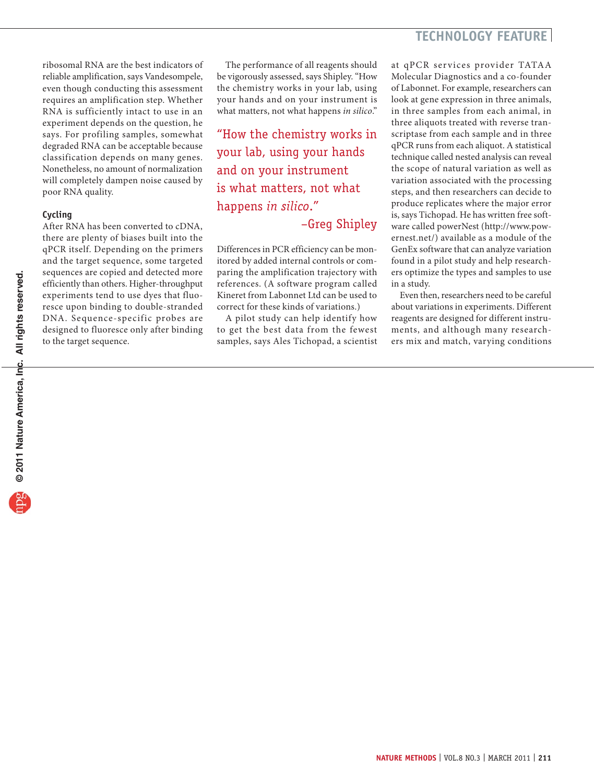ribosomal RNA are the best indicators of reliable amplification, says Vandesompele, even though conducting this assessment requires an amplification step. Whether RNA is sufficiently intact to use in an experiment depends on the question, he says. For profiling samples, somewhat degraded RNA can be acceptable because classification depends on many genes. Nonetheless, no amount of normalization will completely dampen noise caused by poor RNA quality.

#### **Cycling**

After RNA has been converted to cDNA, there are plenty of biases built into the qPCR itself. Depending on the primers and the target sequence, some targeted sequences are copied and detected more efficiently than others. Higher-throughput experiments tend to use dyes that fluoresce upon binding to double-stranded DNA. Sequence-specific probes are designed to fluoresce only after binding to the target sequence.

The performance of all reagents should be vigorously assessed, says Shipley. "How the chemistry works in your lab, using your hands and on your instrument is what matters, not what happens *in silico*."

"How the chemistry works in your lab, using your hands and on your instrument is what matters, not what happens *in silico*."

### –Greg Shipley

Differences in PCR efficiency can be monitored by added internal controls or comparing the amplification trajectory with references. (A software program called Kineret from Labonnet Ltd can be used to correct for these kinds of variations.)

A pilot study can help identify how to get the best data from the fewest samples, says Ales Tichopad, a scientist at qPCR services provider TATAA Molecular Diagnostics and a co-founder of Labonnet. For example, researchers can look at gene expression in three animals, in three samples from each animal, in three aliquots treated with reverse transcriptase from each sample and in three qPCR runs from each aliquot. A statistical technique called nested analysis can reveal the scope of natural variation as well as variation associated with the processing steps, and then researchers can decide to produce replicates where the major error is, says Tichopad. He has written free software called powerNest ([http://www.pow](http://www.powernest.net/)[ernest.net/\)](http://www.powernest.net/) available as a module of the GenEx software that can analyze variation found in a pilot study and help researchers optimize the types and samples to use in a study.

Even then, researchers need to be careful about variations in experiments. Different reagents are designed for different instruments, and although many researchers mix and match, varying conditions